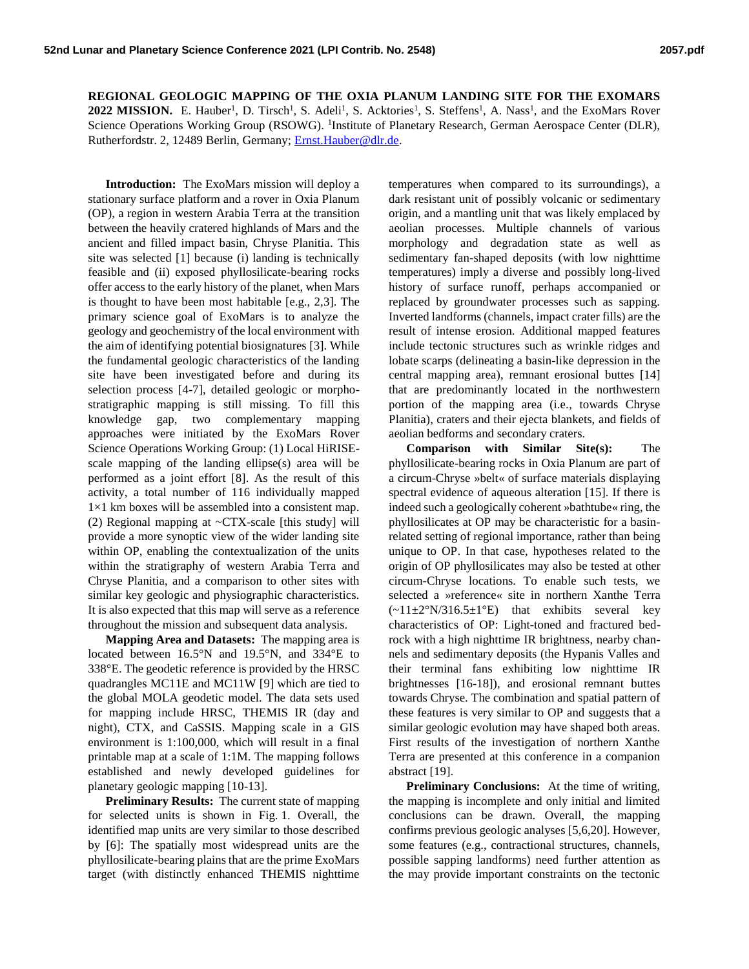**REGIONAL GEOLOGIC MAPPING OF THE OXIA PLANUM LANDING SITE FOR THE EXOMARS 2022 MISSION.** E. Hauber<sup>1</sup>, D. Tirsch<sup>1</sup>, S. Adeli<sup>1</sup>, S. Acktories<sup>1</sup>, S. Steffens<sup>1</sup>, A. Nass<sup>1</sup>, and the ExoMars Rover Science Operations Working Group (RSOWG). <sup>1</sup>Institute of Planetary Research, German Aerospace Center (DLR), Rutherfordstr. 2, 12489 Berlin, Germany; [Ernst.Hauber@dlr.de.](mailto:Ernst.Hauber@dlr.de)

**Introduction:** The ExoMars mission will deploy a stationary surface platform and a rover in Oxia Planum (OP), a region in western Arabia Terra at the transition between the heavily cratered highlands of Mars and the ancient and filled impact basin, Chryse Planitia. This site was selected [1] because (i) landing is technically feasible and (ii) exposed phyllosilicate-bearing rocks offer access to the early history of the planet, when Mars is thought to have been most habitable [e.g., 2,3]. The primary science goal of ExoMars is to analyze the geology and geochemistry of the local environment with the aim of identifying potential biosignatures [3]. While the fundamental geologic characteristics of the landing site have been investigated before and during its selection process [4-7], detailed geologic or morphostratigraphic mapping is still missing. To fill this knowledge gap, two complementary mapping approaches were initiated by the ExoMars Rover Science Operations Working Group: (1) Local HiRISEscale mapping of the landing ellipse(s) area will be performed as a joint effort [8]. As the result of this activity, a total number of 116 individually mapped  $1\times1$  km boxes will be assembled into a consistent map. (2) Regional mapping at  $\neg$ CTX-scale [this study] will provide a more synoptic view of the wider landing site within OP, enabling the contextualization of the units within the stratigraphy of western Arabia Terra and Chryse Planitia, and a comparison to other sites with similar key geologic and physiographic characteristics. It is also expected that this map will serve as a reference throughout the mission and subsequent data analysis.

**Mapping Area and Datasets:** The mapping area is located between 16.5°N and 19.5°N, and 334°E to 338°E. The geodetic reference is provided by the HRSC quadrangles MC11E and MC11W [9] which are tied to the global MOLA geodetic model. The data sets used for mapping include HRSC, THEMIS IR (day and night), CTX, and CaSSIS. Mapping scale in a GIS environment is 1:100,000, which will result in a final printable map at a scale of 1:1M. The mapping follows established and newly developed guidelines for planetary geologic mapping [10-13].

**Preliminary Results:** The current state of mapping for selected units is shown in Fig. 1. Overall, the identified map units are very similar to those described by [6]: The spatially most widespread units are the phyllosilicate-bearing plainsthat are the prime ExoMars target (with distinctly enhanced THEMIS nighttime

temperatures when compared to its surroundings), a dark resistant unit of possibly volcanic or sedimentary origin, and a mantling unit that was likely emplaced by aeolian processes. Multiple channels of various morphology and degradation state as well as sedimentary fan-shaped deposits (with low nighttime temperatures) imply a diverse and possibly long-lived history of surface runoff, perhaps accompanied or replaced by groundwater processes such as sapping. Inverted landforms (channels, impact crater fills) are the result of intense erosion. Additional mapped features include tectonic structures such as wrinkle ridges and lobate scarps (delineating a basin-like depression in the central mapping area), remnant erosional buttes [14] that are predominantly located in the northwestern portion of the mapping area (i.e., towards Chryse Planitia), craters and their ejecta blankets, and fields of aeolian bedforms and secondary craters.

**Comparison with Similar Site(s):** The phyllosilicate-bearing rocks in Oxia Planum are part of a circum-Chryse »belt« of surface materials displaying spectral evidence of aqueous alteration [15]. If there is indeed such a geologically coherent »bathtube« ring, the phyllosilicates at OP may be characteristic for a basinrelated setting of regional importance, rather than being unique to OP. In that case, hypotheses related to the origin of OP phyllosilicates may also be tested at other circum-Chryse locations. To enable such tests, we selected a »reference« site in northern Xanthe Terra  $(-11\pm2°N/316.5\pm1°E)$  that exhibits several key characteristics of OP: Light-toned and fractured bedrock with a high nighttime IR brightness, nearby channels and sedimentary deposits (the Hypanis Valles and their terminal fans exhibiting low nighttime IR brightnesses [16-18]), and erosional remnant buttes towards Chryse. The combination and spatial pattern of these features is very similar to OP and suggests that a similar geologic evolution may have shaped both areas. First results of the investigation of northern Xanthe Terra are presented at this conference in a companion abstract [19].

Preliminary Conclusions: At the time of writing, the mapping is incomplete and only initial and limited conclusions can be drawn. Overall, the mapping confirms previous geologic analyses [5,6,20]. However, some features (e.g., contractional structures, channels, possible sapping landforms) need further attention as the may provide important constraints on the tectonic